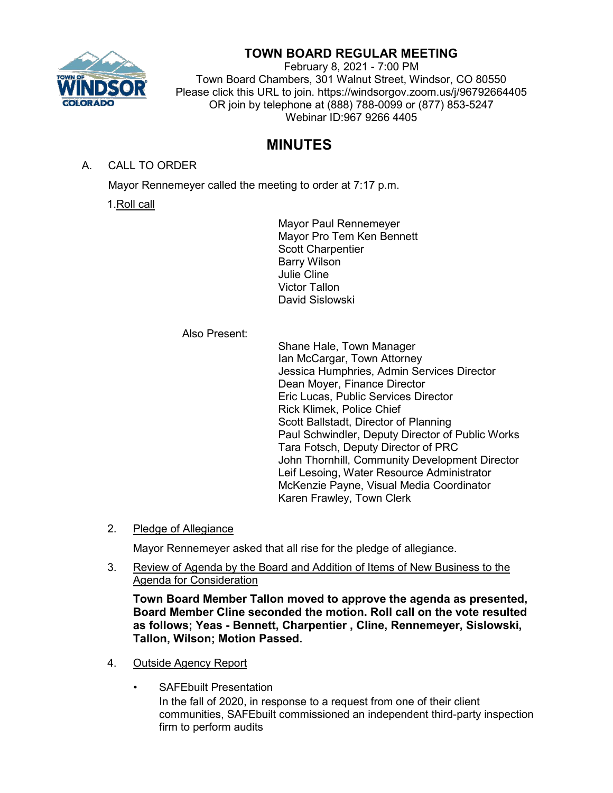

## **TOWN BOARD REGULAR MEETING**

February 8, 2021 - 7:00 PM Town Board Chambers, 301 Walnut Street, Windsor, CO 80550 Please click this URL to join. https://windsorgov.zoom.us/j/96792664405 OR join by telephone at (888) 788-0099 or (877) 853-5247 Webinar ID:967 9266 4405

# **MINUTES**

A. CALL TO ORDER

Mayor Rennemeyer called the meeting to order at 7:17 p.m.

1.Roll call

Mayor Paul Rennemeyer Mayor Pro Tem Ken Bennett Scott Charpentier Barry Wilson Julie Cline Victor Tallon David Sislowski

### Also Present:

Shane Hale, Town Manager Ian McCargar, Town Attorney Jessica Humphries, Admin Services Director Dean Moyer, Finance Director Eric Lucas, Public Services Director Rick Klimek, Police Chief Scott Ballstadt, Director of Planning Paul Schwindler, Deputy Director of Public Works Tara Fotsch, Deputy Director of PRC John Thornhill, Community Development Director Leif Lesoing, Water Resource Administrator McKenzie Payne, Visual Media Coordinator Karen Frawley, Town Clerk

2. Pledge of Allegiance

Mayor Rennemeyer asked that all rise for the pledge of allegiance.

3. Review of Agenda by the Board and Addition of Items of New Business to the Agenda for Consideration

**Town Board Member Tallon moved to approve the agenda as presented, Board Member Cline seconded the motion. Roll call on the vote resulted as follows; Yeas - Bennett, Charpentier , Cline, Rennemeyer, Sislowski, Tallon, Wilson; Motion Passed.**

- 4. Outside Agency Report
	- SAFEbuilt Presentation

In the fall of 2020, in response to a request from one of their client communities, SAFEbuilt commissioned an independent third-party inspection firm to perform audits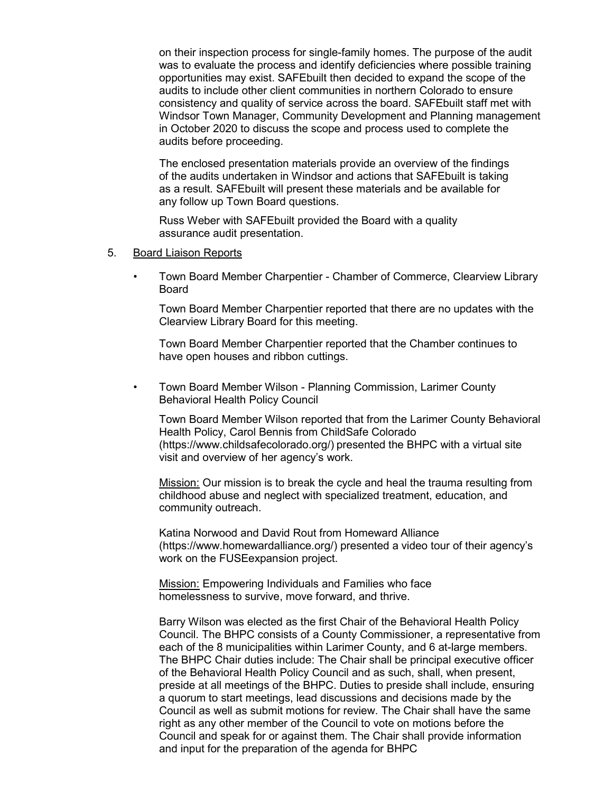on their inspection process for single-family homes. The purpose of the audit was to evaluate the process and identify deficiencies where possible training opportunities may exist. SAFEbuilt then decided to expand the scope of the audits to include other client communities in northern Colorado to ensure consistency and quality of service across the board. SAFEbuilt staff met with Windsor Town Manager, Community Development and Planning management in October 2020 to discuss the scope and process used to complete the audits before proceeding.

The enclosed presentation materials provide an overview of the findings of the audits undertaken in Windsor and actions that SAFEbuilt is taking as a result. SAFEbuilt will present these materials and be available for any follow up Town Board questions.

Russ Weber with SAFEbuilt provided the Board with a quality assurance audit presentation.

- 5. Board Liaison Reports
	- Town Board Member Charpentier Chamber of Commerce, Clearview Library Board

Town Board Member Charpentier reported that there are no updates with the Clearview Library Board for this meeting.

Town Board Member Charpentier reported that the Chamber continues to have open houses and ribbon cuttings.

• Town Board Member Wilson - Planning Commission, Larimer County Behavioral Health Policy Council

Town Board Member Wilson reported that from the Larimer County Behavioral Health Policy, Carol Bennis from ChildSafe Colorado [\(https://www.childsafecolorado.org/\)](https://www.childsafecolorado.org/) presented the BHPC with a virtual site visit and overview of her agency's work.

Mission: Our mission is to break the cycle and heal the trauma resulting from childhood abuse and neglect with specialized treatment, education, and community outreach.

Katina Norwood and David Rout from Homeward Alliance [\(https://www.homewardalliance.org/\) p](https://www.homewardalliance.org/)resented a video tour of their agency's work on the FUSEexpansion project.

Mission: Empowering Individuals and Families who face homelessness to survive, move forward, and thrive.

Barry Wilson was elected as the first Chair of the Behavioral Health Policy Council. The BHPC consists of a County Commissioner, a representative from each of the 8 municipalities within Larimer County, and 6 at-large members. The BHPC Chair duties include: The Chair shall be principal executive officer of the Behavioral Health Policy Council and as such, shall, when present, preside at all meetings of the BHPC. Duties to preside shall include, ensuring a quorum to start meetings, lead discussions and decisions made by the Council as well as submit motions for review. The Chair shall have the same right as any other member of the Council to vote on motions before the Council and speak for or against them. The Chair shall provide information and input for the preparation of the agenda for BHPC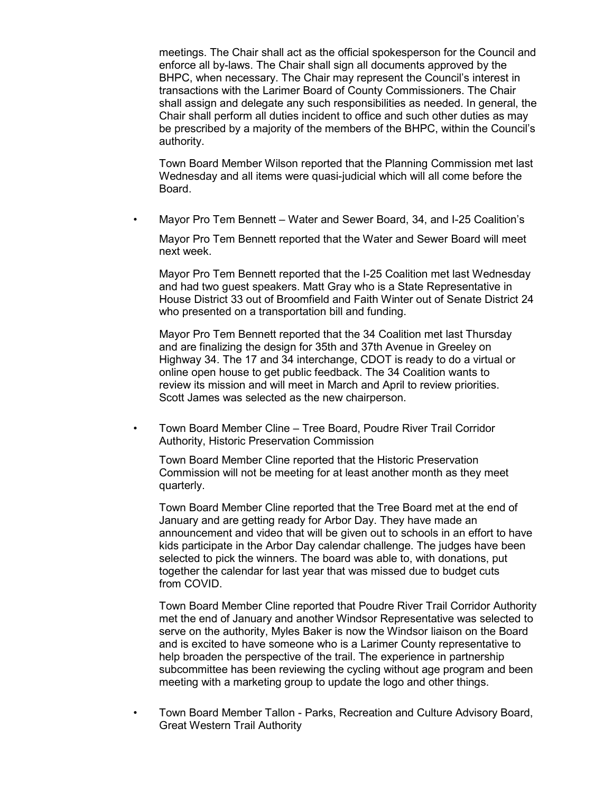meetings. The Chair shall act as the official spokesperson for the Council and enforce all by-laws. The Chair shall sign all documents approved by the BHPC, when necessary. The Chair may represent the Council's interest in transactions with the Larimer Board of County Commissioners. The Chair shall assign and delegate any such responsibilities as needed. In general, the Chair shall perform all duties incident to office and such other duties as may be prescribed by a majority of the members of the BHPC, within the Council's authority.

Town Board Member Wilson reported that the Planning Commission met last Wednesday and all items were quasi-judicial which will all come before the Board.

• Mayor Pro Tem Bennett – Water and Sewer Board, 34, and I-25 Coalition's

Mayor Pro Tem Bennett reported that the Water and Sewer Board will meet next week.

Mayor Pro Tem Bennett reported that the I-25 Coalition met last Wednesday and had two guest speakers. Matt Gray who is a State Representative in House District 33 out of Broomfield and Faith Winter out of Senate District 24 who presented on a transportation bill and funding.

Mayor Pro Tem Bennett reported that the 34 Coalition met last Thursday and are finalizing the design for 35th and 37th Avenue in Greeley on Highway 34. The 17 and 34 interchange, CDOT is ready to do a virtual or online open house to get public feedback. The 34 Coalition wants to review its mission and will meet in March and April to review priorities. Scott James was selected as the new chairperson.

• Town Board Member Cline – Tree Board, Poudre River Trail Corridor Authority, Historic Preservation Commission

Town Board Member Cline reported that the Historic Preservation Commission will not be meeting for at least another month as they meet quarterly.

Town Board Member Cline reported that the Tree Board met at the end of January and are getting ready for Arbor Day. They have made an announcement and video that will be given out to schools in an effort to have kids participate in the Arbor Day calendar challenge. The judges have been selected to pick the winners. The board was able to, with donations, put together the calendar for last year that was missed due to budget cuts from COVID.

Town Board Member Cline reported that Poudre River Trail Corridor Authority met the end of January and another Windsor Representative was selected to serve on the authority, Myles Baker is now the Windsor liaison on the Board and is excited to have someone who is a Larimer County representative to help broaden the perspective of the trail. The experience in partnership subcommittee has been reviewing the cycling without age program and been meeting with a marketing group to update the logo and other things.

• Town Board Member Tallon - Parks, Recreation and Culture Advisory Board, Great Western Trail Authority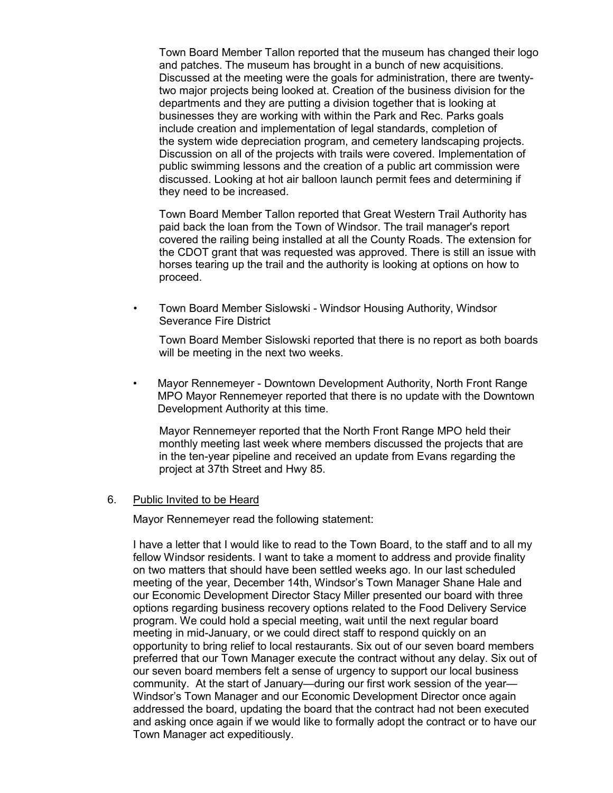Town Board Member Tallon reported that the museum has changed their logo and patches. The museum has brought in a bunch of new acquisitions. Discussed at the meeting were the goals for administration, there are twentytwo major projects being looked at. Creation of the business division for the departments and they are putting a division together that is looking at businesses they are working with within the Park and Rec. Parks goals include creation and implementation of legal standards, completion of the system wide depreciation program, and cemetery landscaping projects. Discussion on all of the projects with trails were covered. Implementation of public swimming lessons and the creation of a public art commission were discussed. Looking at hot air balloon launch permit fees and determining if they need to be increased.

Town Board Member Tallon reported that Great Western Trail Authority has paid back the loan from the Town of Windsor. The trail manager's report covered the railing being installed at all the County Roads. The extension for the CDOT grant that was requested was approved. There is still an issue with horses tearing up the trail and the authority is looking at options on how to proceed.

• Town Board Member Sislowski - Windsor Housing Authority, Windsor Severance Fire District

Town Board Member Sislowski reported that there is no report as both boards will be meeting in the next two weeks.

• Mayor Rennemeyer - Downtown Development Authority, North Front Range MPO Mayor Rennemeyer reported that there is no update with the Downtown Development Authority at this time.

Mayor Rennemeyer reported that the North Front Range MPO held their monthly meeting last week where members discussed the projects that are in the ten-year pipeline and received an update from Evans regarding the project at 37th Street and Hwy 85.

#### 6. Public Invited to be Heard

Mayor Rennemeyer read the following statement:

I have a letter that I would like to read to the Town Board, to the staff and to all my fellow Windsor residents. I want to take a moment to address and provide finality on two matters that should have been settled weeks ago. In our last scheduled meeting of the year, December 14th, Windsor's Town Manager Shane Hale and our Economic Development Director Stacy Miller presented our board with three options regarding business recovery options related to the Food Delivery Service program. We could hold a special meeting, wait until the next regular board meeting in mid-January, or we could direct staff to respond quickly on an opportunity to bring relief to local restaurants. Six out of our seven board members preferred that our Town Manager execute the contract without any delay. Six out of our seven board members felt a sense of urgency to support our local business community. At the start of January—during our first work session of the year— Windsor's Town Manager and our Economic Development Director once again addressed the board, updating the board that the contract had not been executed and asking once again if we would like to formally adopt the contract or to have our Town Manager act expeditiously.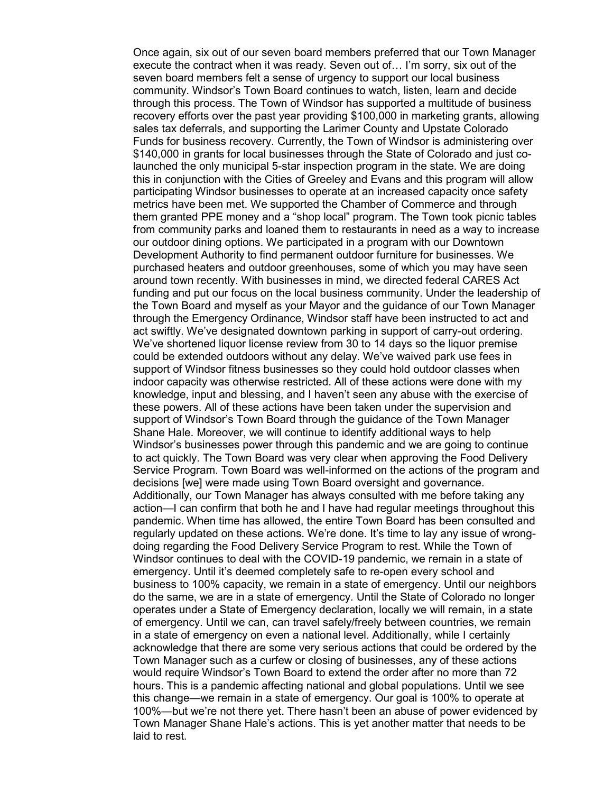Once again, six out of our seven board members preferred that our Town Manager execute the contract when it was ready. Seven out of… I'm sorry, six out of the seven board members felt a sense of urgency to support our local business community. Windsor's Town Board continues to watch, listen, learn and decide through this process. The Town of Windsor has supported a multitude of business recovery efforts over the past year providing \$100,000 in marketing grants, allowing sales tax deferrals, and supporting the Larimer County and Upstate Colorado Funds for business recovery. Currently, the Town of Windsor is administering over \$140,000 in grants for local businesses through the State of Colorado and just colaunched the only municipal 5-star inspection program in the state. We are doing this in conjunction with the Cities of Greeley and Evans and this program will allow participating Windsor businesses to operate at an increased capacity once safety metrics have been met. We supported the Chamber of Commerce and through them granted PPE money and a "shop local" program. The Town took picnic tables from community parks and loaned them to restaurants in need as a way to increase our outdoor dining options. We participated in a program with our Downtown Development Authority to find permanent outdoor furniture for businesses. We purchased heaters and outdoor greenhouses, some of which you may have seen around town recently. With businesses in mind, we directed federal CARES Act funding and put our focus on the local business community. Under the leadership of the Town Board and myself as your Mayor and the guidance of our Town Manager through the Emergency Ordinance, Windsor staff have been instructed to act and act swiftly. We've designated downtown parking in support of carry-out ordering. We've shortened liquor license review from 30 to 14 days so the liquor premise could be extended outdoors without any delay. We've waived park use fees in support of Windsor fitness businesses so they could hold outdoor classes when indoor capacity was otherwise restricted. All of these actions were done with my knowledge, input and blessing, and I haven't seen any abuse with the exercise of these powers. All of these actions have been taken under the supervision and support of Windsor's Town Board through the guidance of the Town Manager Shane Hale. Moreover, we will continue to identify additional ways to help Windsor's businesses power through this pandemic and we are going to continue to act quickly. The Town Board was very clear when approving the Food Delivery Service Program. Town Board was well-informed on the actions of the program and decisions [we] were made using Town Board oversight and governance. Additionally, our Town Manager has always consulted with me before taking any action—I can confirm that both he and I have had regular meetings throughout this pandemic. When time has allowed, the entire Town Board has been consulted and regularly updated on these actions. We're done. It's time to lay any issue of wrongdoing regarding the Food Delivery Service Program to rest. While the Town of Windsor continues to deal with the COVID-19 pandemic, we remain in a state of emergency. Until it's deemed completely safe to re-open every school and business to 100% capacity, we remain in a state of emergency. Until our neighbors do the same, we are in a state of emergency. Until the State of Colorado no longer operates under a State of Emergency declaration, locally we will remain, in a state of emergency. Until we can, can travel safely/freely between countries, we remain in a state of emergency on even a national level. Additionally, while I certainly acknowledge that there are some very serious actions that could be ordered by the Town Manager such as a curfew or closing of businesses, any of these actions would require Windsor's Town Board to extend the order after no more than 72 hours. This is a pandemic affecting national and global populations. Until we see this change—we remain in a state of emergency. Our goal is 100% to operate at 100%—but we're not there yet. There hasn't been an abuse of power evidenced by Town Manager Shane Hale's actions. This is yet another matter that needs to be laid to rest.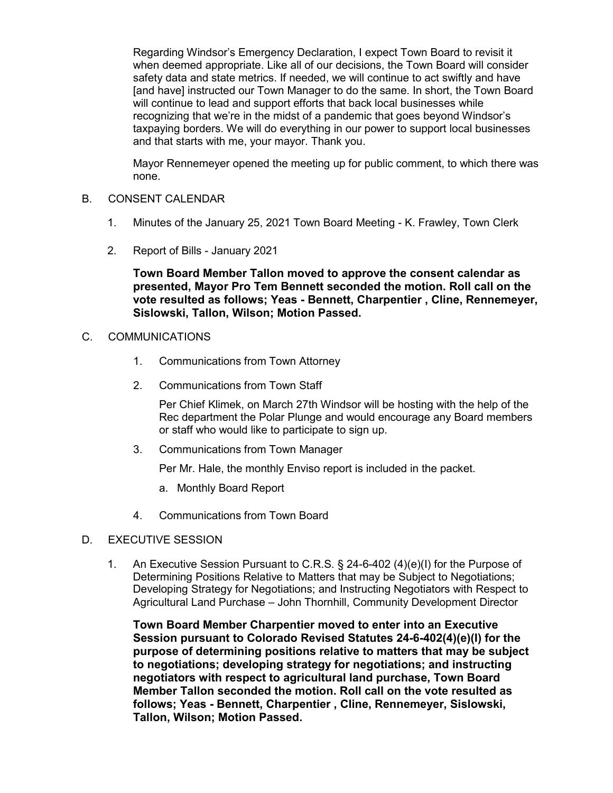Regarding Windsor's Emergency Declaration, I expect Town Board to revisit it when deemed appropriate. Like all of our decisions, the Town Board will consider safety data and state metrics. If needed, we will continue to act swiftly and have [and have] instructed our Town Manager to do the same. In short, the Town Board will continue to lead and support efforts that back local businesses while recognizing that we're in the midst of a pandemic that goes beyond Windsor's taxpaying borders. We will do everything in our power to support local businesses and that starts with me, your mayor. Thank you.

Mayor Rennemeyer opened the meeting up for public comment, to which there was none.

#### B. CONSENT CALENDAR

- 1. Minutes of the January 25, 2021 Town Board Meeting K. Frawley, Town Clerk
- 2. Report of Bills January 2021

**Town Board Member Tallon moved to approve the consent calendar as presented, Mayor Pro Tem Bennett seconded the motion. Roll call on the vote resulted as follows; Yeas - Bennett, Charpentier , Cline, Rennemeyer, Sislowski, Tallon, Wilson; Motion Passed.**

#### C. COMMUNICATIONS

- 1. Communications from Town Attorney
- 2. Communications from Town Staff

Per Chief Klimek, on March 27th Windsor will be hosting with the help of the Rec department the Polar Plunge and would encourage any Board members or staff who would like to participate to sign up.

3. Communications from Town Manager

Per Mr. Hale, the monthly Enviso report is included in the packet.

- a. Monthly Board Report
- 4. Communications from Town Board

#### D. EXECUTIVE SESSION

1. An Executive Session Pursuant to C.R.S. § 24-6-402 (4)(e)(I) for the Purpose of Determining Positions Relative to Matters that may be Subject to Negotiations; Developing Strategy for Negotiations; and Instructing Negotiators with Respect to Agricultural Land Purchase – John Thornhill, Community Development Director

**Town Board Member Charpentier moved to enter into an Executive Session pursuant to Colorado Revised Statutes 24-6-402(4)(e)(I) for the purpose of determining positions relative to matters that may be subject to negotiations; developing strategy for negotiations; and instructing negotiators with respect to agricultural land purchase, Town Board Member Tallon seconded the motion. Roll call on the vote resulted as follows; Yeas - Bennett, Charpentier , Cline, Rennemeyer, Sislowski, Tallon, Wilson; Motion Passed.**